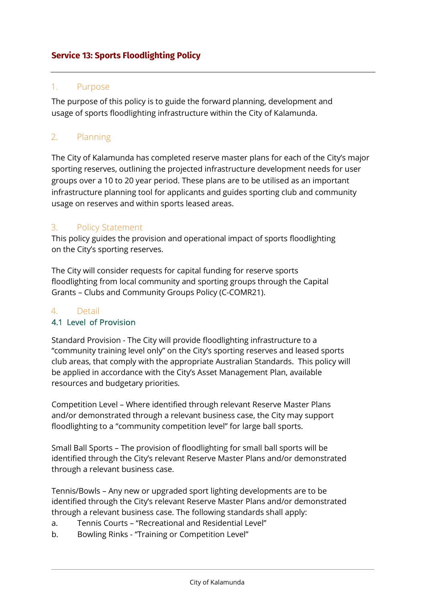# **Service 13: Sports Floodlighting Policy**

#### 1. Purpose

The purpose of this policy is to guide the forward planning, development and usage of sports floodlighting infrastructure within the City of Kalamunda.

# 2. Planning

The City of Kalamunda has completed reserve master plans for each of the City's major sporting reserves, outlining the projected infrastructure development needs for user groups over a 10 to 20 year period. These plans are to be utilised as an important infrastructure planning tool for applicants and guides sporting club and community usage on reserves and within sports leased areas.

## 3. Policy Statement

This policy guides the provision and operational impact of sports floodlighting on the City's sporting reserves.

The City will consider requests for capital funding for reserve sports floodlighting from local community and sporting groups through the Capital Grants – Clubs and Community Groups Policy (C-COMR21).

## 4. Detail

## 4.1 Level of Provision

Standard Provision - The City will provide floodlighting infrastructure to a "community training level only" on the City's sporting reserves and leased sports club areas, that comply with the appropriate Australian Standards. This policy will be applied in accordance with the City's Asset Management Plan, available resources and budgetary priorities.

Competition Level – Where identified through relevant Reserve Master Plans and/or demonstrated through a relevant business case, the City may support floodlighting to a "community competition level" for large ball sports.

Small Ball Sports – The provision of floodlighting for small ball sports will be identified through the City's relevant Reserve Master Plans and/or demonstrated through a relevant business case.

Tennis/Bowls – Any new or upgraded sport lighting developments are to be identified through the City's relevant Reserve Master Plans and/or demonstrated through a relevant business case. The following standards shall apply:

- a. Tennis Courts "Recreational and Residential Level"
- b. Bowling Rinks "Training or Competition Level"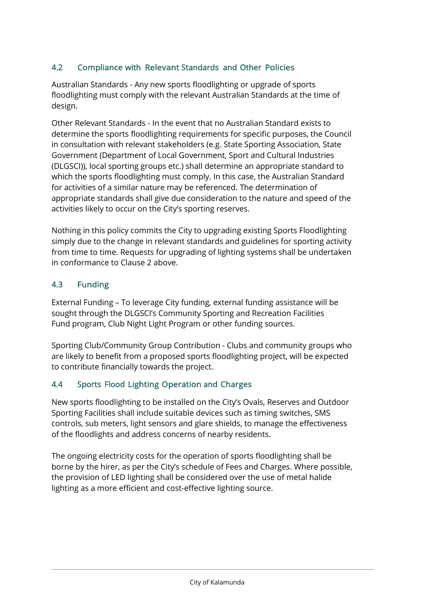## 4.2 Compliance with Relevant Standards and Other Policies

Australian Standards - Any new sports floodlighting or upgrade of sports floodlighting must comply with the relevant Australian Standards at the time of design.

Other Relevant Standards - In the event that no Australian Standard exists to determine the sports floodlighting requirements for specific purposes, the Council in consultation with relevant stakeholders (e.g. State Sporting Association, State Government (Department of Local Government, Sport and Cultural Industries (DLGSCI)), local sporting groups etc.) shall determine an appropriate standard to which the sports floodlighting must comply. In this case, the Australian Standard for activities of a similar nature may be referenced. The determination of appropriate standards shall give due consideration to the nature and speed of the activities likely to occur on the City's sporting reserves.

Nothing in this policy commits the City to upgrading existing Sports Floodlighting simply due to the change in relevant standards and guidelines for sporting activity from time to time. Requests for upgrading of lighting systems shall be undertaken in conformance to Clause 2 above.

#### 4.3 Funding

External Funding – To leverage City funding, external funding assistance will be sought through the DLGSCI's Community Sporting and Recreation Facilities Fund program, Club Night Light Program or other funding sources.

Sporting Club/Community Group Contribution - Clubs and community groups who are likely to benefit from a proposed sports floodlighting project, will be expected to contribute financially towards the project.

## 4.4 Sports Flood Lighting Operation and Charges

New sports floodlighting to be installed on the City's Ovals, Reserves and Outdoor Sporting Facilities shall include suitable devices such as timing switches, SMS controls, sub meters, light sensors and glare shields, to manage the effectiveness of the floodlights and address concerns of nearby residents.

The ongoing electricity costs for the operation of sports floodlighting shall be borne by the hirer, as per the City's schedule of Fees and Charges. Where possible, the provision of LED lighting shall be considered over the use of metal halide lighting as a more efficient and cost-effective lighting source.